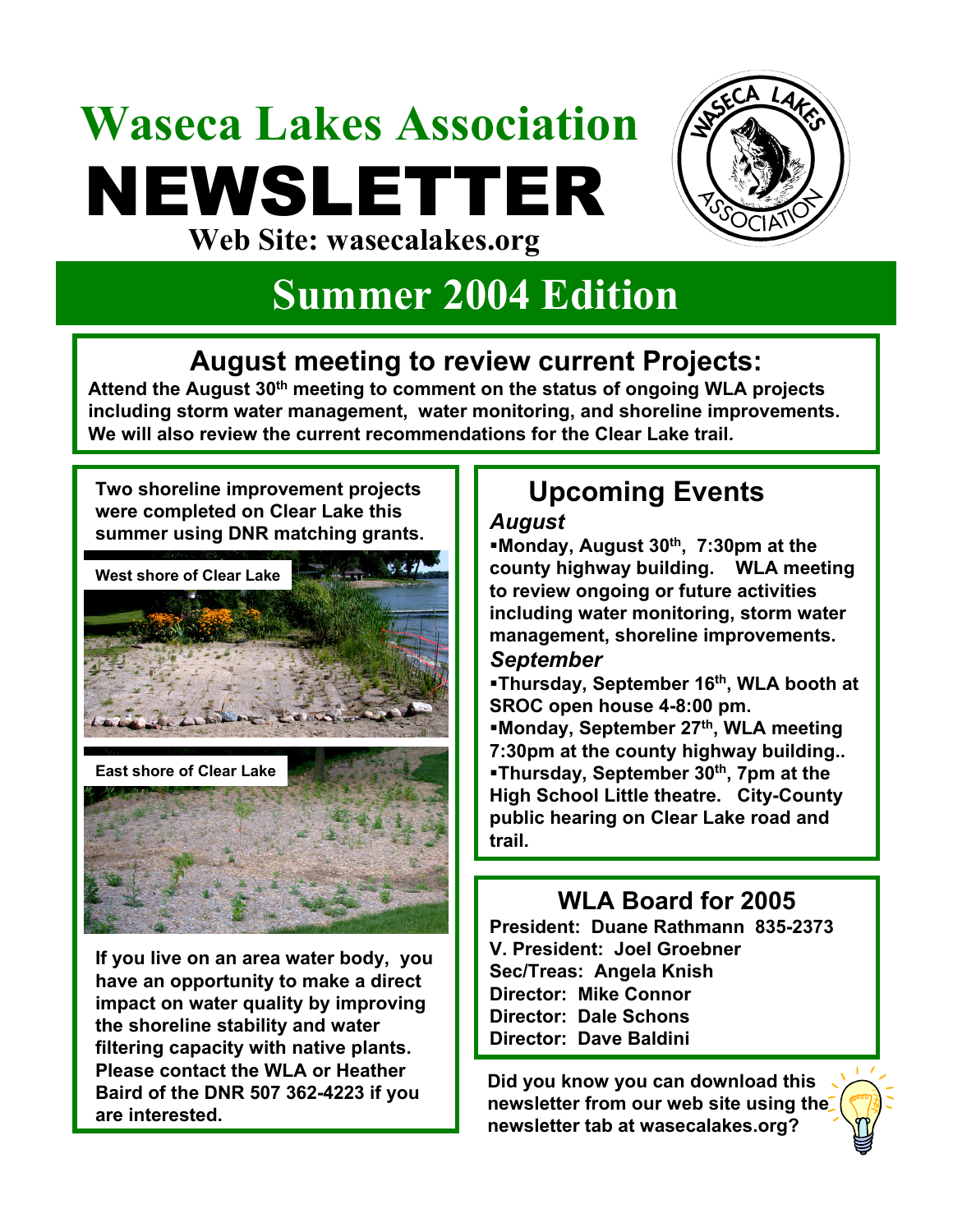# **Waseca Lakes Association** NEWSLETTER **Web Site: wasecalakes.org**



# **Summer 2004 Edition**

## **August meeting to review current Projects:**

**Attend the August 30th meeting to comment on the status of ongoing WLA projects including storm water management, water monitoring, and shoreline improvements. We will also review the current recommendations for the Clear Lake trail.**

**Two shoreline improvement projects were completed on Clear Lake this summer using DNR matching grants.** 



**East shore of Clear Lake**



**If you live on an area water body, you have an opportunity to make a direct impact on water quality by improving the shoreline stability and water filtering capacity with native plants. Please contact the WLA or Heather Baird of the DNR 507 362-4223 if you are interested.**

## **Upcoming Events**

#### *August*

**Monday, August 30th, 7:30pm at the county highway building. WLA meeting to review ongoing or future activities including water monitoring, storm water management, shoreline improvements.** 

#### *September*

**Thursday, September 16th, WLA booth at SROC open house 4-8:00 pm. Monday, September 27th, WLA meeting 7:30pm at the county highway building.. Thursday, September 30th, 7pm at the High School Little theatre. City-County public hearing on Clear Lake road and trail.**

### **WLA Board for 2005**

**President: Duane Rathmann 835-2373 V. President: Joel Groebner Sec/Treas: Angela Knish Director: Mike Connor Director: Dale Schons Director: Dave Baldini**

**Did you know you can download this newsletter from our web site using the newsletter tab at wasecalakes.org?**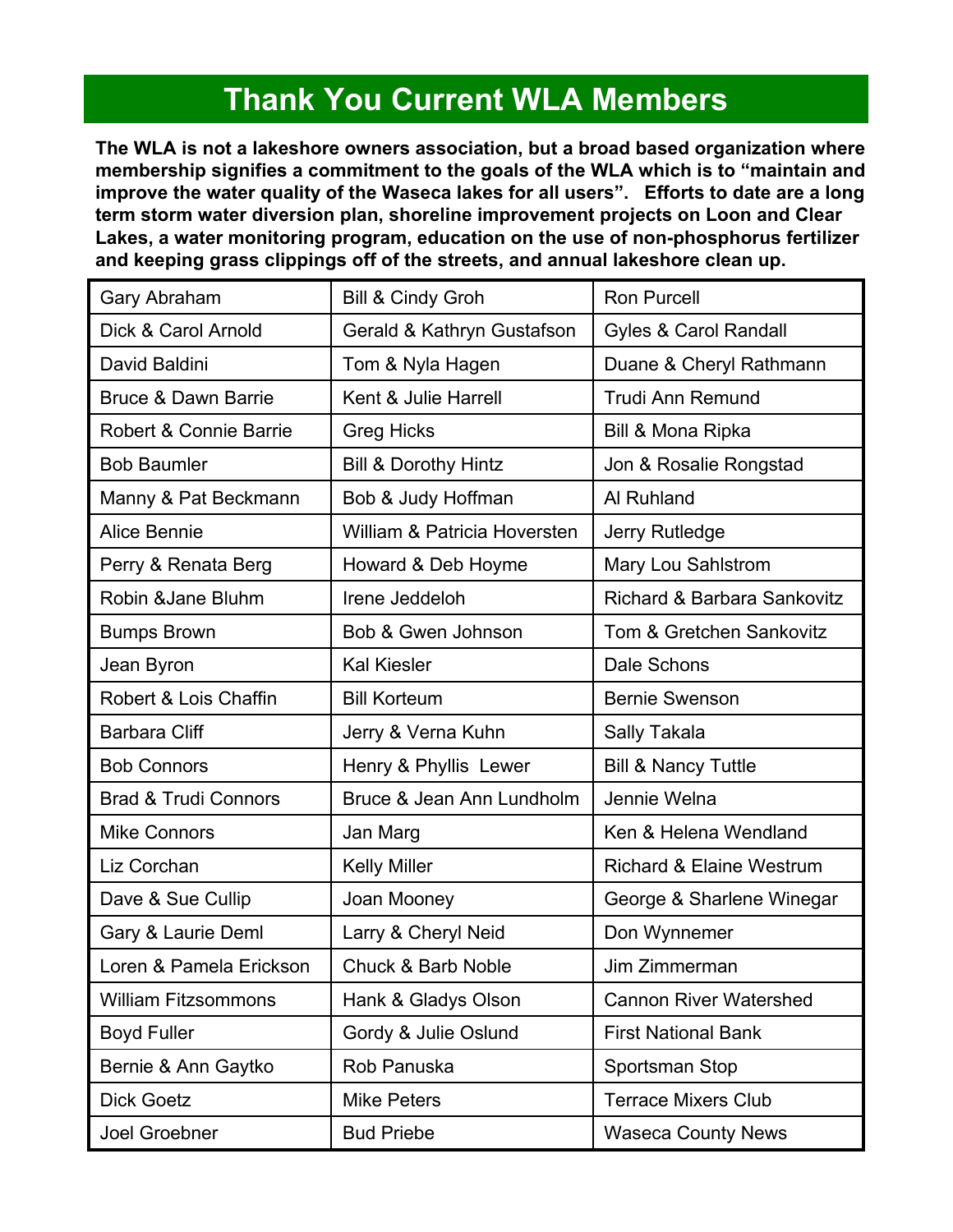## **Thank You Current WLA Members**

**The WLA is not a lakeshore owners association, but a broad based organization where membership signifies a commitment to the goals of the WLA which is to "maintain and improve the water quality of the Waseca lakes for all users". Efforts to date are a long term storm water diversion plan, shoreline improvement projects on Loon and Clear Lakes, a water monitoring program, education on the use of non-phosphorus fertilizer and keeping grass clippings off of the streets, and annual lakeshore clean up.**

| Gary Abraham                    | <b>Bill &amp; Cindy Groh</b>    | <b>Ron Purcell</b>                  |
|---------------------------------|---------------------------------|-------------------------------------|
| Dick & Carol Arnold             | Gerald & Kathryn Gustafson      | <b>Gyles &amp; Carol Randall</b>    |
| David Baldini                   | Tom & Nyla Hagen                | Duane & Cheryl Rathmann             |
| <b>Bruce &amp; Dawn Barrie</b>  | Kent & Julie Harrell            | <b>Trudi Ann Remund</b>             |
| Robert & Connie Barrie          | <b>Greg Hicks</b>               | Bill & Mona Ripka                   |
| <b>Bob Baumler</b>              | <b>Bill &amp; Dorothy Hintz</b> | Jon & Rosalie Rongstad              |
| Manny & Pat Beckmann            | Bob & Judy Hoffman              | Al Ruhland                          |
| <b>Alice Bennie</b>             | William & Patricia Hoversten    | Jerry Rutledge                      |
| Perry & Renata Berg             | Howard & Deb Hoyme              | Mary Lou Sahlstrom                  |
| Robin & Jane Bluhm              | Irene Jeddeloh                  | Richard & Barbara Sankovitz         |
| <b>Bumps Brown</b>              | Bob & Gwen Johnson              | <b>Tom &amp; Gretchen Sankovitz</b> |
| Jean Byron                      | <b>Kal Kiesler</b>              | Dale Schons                         |
| Robert & Lois Chaffin           | <b>Bill Korteum</b>             | <b>Bernie Swenson</b>               |
| <b>Barbara Cliff</b>            | Jerry & Verna Kuhn              | Sally Takala                        |
| <b>Bob Connors</b>              | Henry & Phyllis Lewer           | <b>Bill &amp; Nancy Tuttle</b>      |
| <b>Brad &amp; Trudi Connors</b> | Bruce & Jean Ann Lundholm       | Jennie Welna                        |
| <b>Mike Connors</b>             | Jan Marg                        | Ken & Helena Wendland               |
| Liz Corchan                     | <b>Kelly Miller</b>             | <b>Richard &amp; Elaine Westrum</b> |
| Dave & Sue Cullip               | Joan Mooney                     | George & Sharlene Winegar           |
| Gary & Laurie Deml              | Larry & Cheryl Neid             | Don Wynnemer                        |
| Loren & Pamela Erickson         | <b>Chuck &amp; Barb Noble</b>   | Jim Zimmerman                       |
| <b>William Fitzsommons</b>      | Hank & Gladys Olson             | <b>Cannon River Watershed</b>       |
| <b>Boyd Fuller</b>              | Gordy & Julie Oslund            | <b>First National Bank</b>          |
| Bernie & Ann Gaytko             | Rob Panuska                     | Sportsman Stop                      |
| <b>Dick Goetz</b>               | <b>Mike Peters</b>              | <b>Terrace Mixers Club</b>          |
| Joel Groebner                   | <b>Bud Priebe</b>               | <b>Waseca County News</b>           |